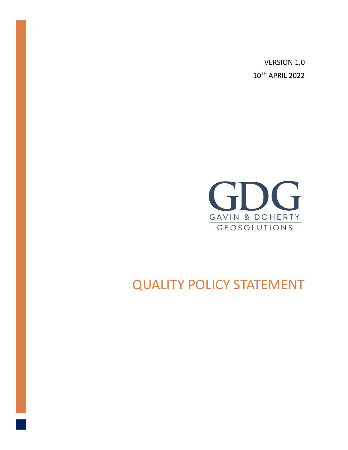VERSION 1.0 10TH APRIL 2022



## QUALITY POLICY STATEMENT